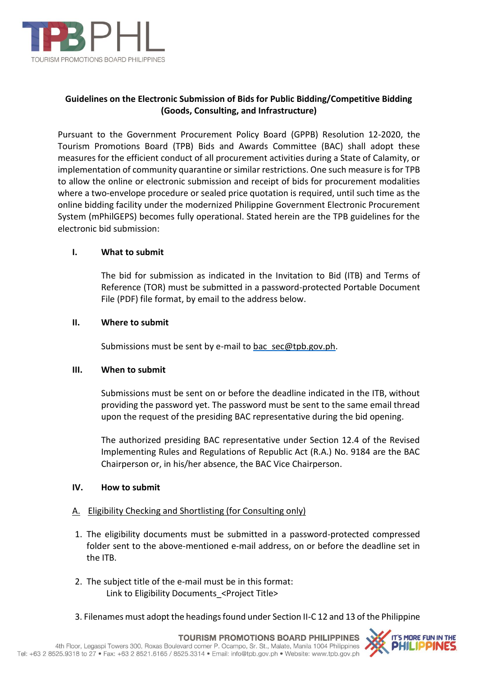

# **Guidelines on the Electronic Submission of Bids for Public Bidding/Competitive Bidding (Goods, Consulting, and Infrastructure)**

Pursuant to the Government Procurement Policy Board (GPPB) Resolution 12-2020, the Tourism Promotions Board (TPB) Bids and Awards Committee (BAC) shall adopt these measures for the efficient conduct of all procurement activities during a State of Calamity, or implementation of community quarantine or similar restrictions. One such measure is for TPB to allow the online or electronic submission and receipt of bids for procurement modalities where a two-envelope procedure or sealed price quotation is required, until such time as the online bidding facility under the modernized Philippine Government Electronic Procurement System (mPhilGEPS) becomes fully operational. Stated herein are the TPB guidelines for the electronic bid submission:

### **I. What to submit**

The bid for submission as indicated in the Invitation to Bid (ITB) and Terms of Reference (TOR) must be submitted in a password-protected Portable Document File (PDF) file format, by email to the address below.

### **II. Where to submit**

Submissions must be sent by e-mail to [bac\\_sec@tpb.gov.ph.](mailto:bac_sec@tpb.gov.ph)

### **III. When to submit**

Submissions must be sent on or before the deadline indicated in the ITB, without providing the password yet. The password must be sent to the same email thread upon the request of the presiding BAC representative during the bid opening.

The authorized presiding BAC representative under Section 12.4 of the Revised Implementing Rules and Regulations of Republic Act (R.A.) No. 9184 are the BAC Chairperson or, in his/her absence, the BAC Vice Chairperson.

### **IV. How to submit**

## A. Eligibility Checking and Shortlisting (for Consulting only)

- 1. The eligibility documents must be submitted in a password-protected compressed folder sent to the above-mentioned e-mail address, on or before the deadline set in the ITB.
- 2. The subject title of the e-mail must be in this format: Link to Eligibility Documents <Project Title>
- 3. Filenames must adopt the headings found under Section II-C 12 and 13 of the Philippine

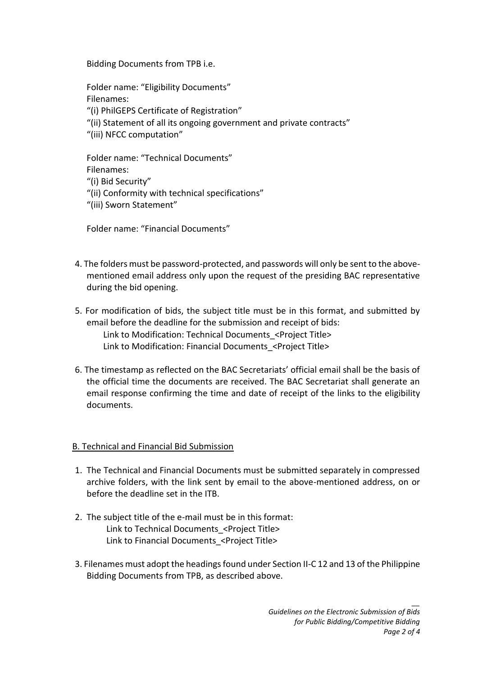Bidding Documents from TPB i.e.

Folder name: "Eligibility Documents" Filenames: "(i) PhilGEPS Certificate of Registration"

- "(ii) Statement of all its ongoing government and private contracts"
- "(iii) NFCC computation"

Folder name: "Technical Documents" Filenames: "(i) Bid Security" "(ii) Conformity with technical specifications"

"(iii) Sworn Statement"

Folder name: "Financial Documents"

- 4. The folders must be password-protected, and passwords will only be sent to the abovementioned email address only upon the request of the presiding BAC representative during the bid opening.
- 5. For modification of bids, the subject title must be in this format, and submitted by email before the deadline for the submission and receipt of bids: Link to Modification: Technical Documents\_<Project Title> Link to Modification: Financial Documents\_<Project Title>
- 6. The timestamp as reflected on the BAC Secretariats' official email shall be the basis of the official time the documents are received. The BAC Secretariat shall generate an email response confirming the time and date of receipt of the links to the eligibility documents.

## B. Technical and Financial Bid Submission

- 1. The Technical and Financial Documents must be submitted separately in compressed archive folders, with the link sent by email to the above-mentioned address, on or before the deadline set in the ITB.
- 2. The subject title of the e-mail must be in this format: Link to Technical Documents\_<Project Title> Link to Financial Documents <Project Title>
- 3. Filenames must adopt the headings found under Section II-C 12 and 13 of the Philippine Bidding Documents from TPB, as described above.

*\_\_*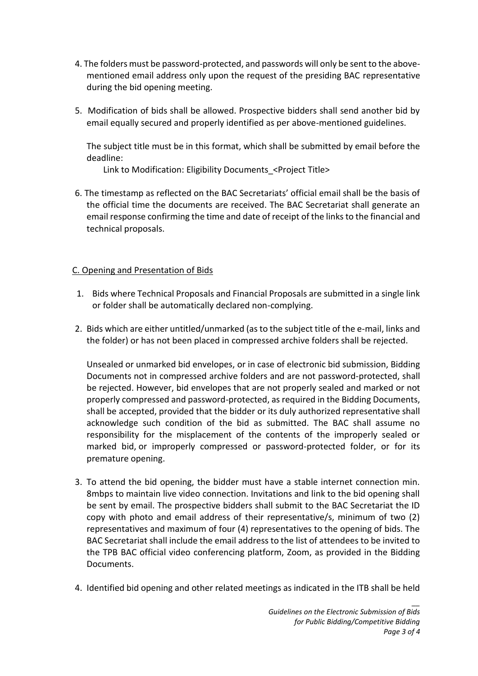- 4. The folders must be password-protected, and passwords will only be sent to the abovementioned email address only upon the request of the presiding BAC representative during the bid opening meeting.
- 5. Modification of bids shall be allowed. Prospective bidders shall send another bid by email equally secured and properly identified as per above-mentioned guidelines.

The subject title must be in this format, which shall be submitted by email before the deadline:

Link to Modification: Eligibility Documents <Project Title>

6. The timestamp as reflected on the BAC Secretariats' official email shall be the basis of the official time the documents are received. The BAC Secretariat shall generate an email response confirming the time and date of receipt of the links to the financial and technical proposals.

## C. Opening and Presentation of Bids

- 1. Bids where Technical Proposals and Financial Proposals are submitted in a single link or folder shall be automatically declared non-complying.
- 2. Bids which are either untitled/unmarked (as to the subject title of the e-mail, links and the folder) or has not been placed in compressed archive folders shall be rejected.

Unsealed or unmarked bid envelopes, or in case of electronic bid submission, Bidding Documents not in compressed archive folders and are not password-protected, shall be rejected. However, bid envelopes that are not properly sealed and marked or not properly compressed and password-protected, as required in the Bidding Documents, shall be accepted, provided that the bidder or its duly authorized representative shall acknowledge such condition of the bid as submitted. The BAC shall assume no responsibility for the misplacement of the contents of the improperly sealed or marked bid, or improperly compressed or password-protected folder, or for its premature opening.

- 3. To attend the bid opening, the bidder must have a stable internet connection min. 8mbps to maintain live video connection. Invitations and link to the bid opening shall be sent by email. The prospective bidders shall submit to the BAC Secretariat the ID copy with photo and email address of their representative/s, minimum of two (2) representatives and maximum of four (4) representatives to the opening of bids. The BAC Secretariat shall include the email address to the list of attendees to be invited to the TPB BAC official video conferencing platform, Zoom, as provided in the Bidding Documents.
- 4. Identified bid opening and other related meetings as indicated in the ITB shall be held

*\_\_*